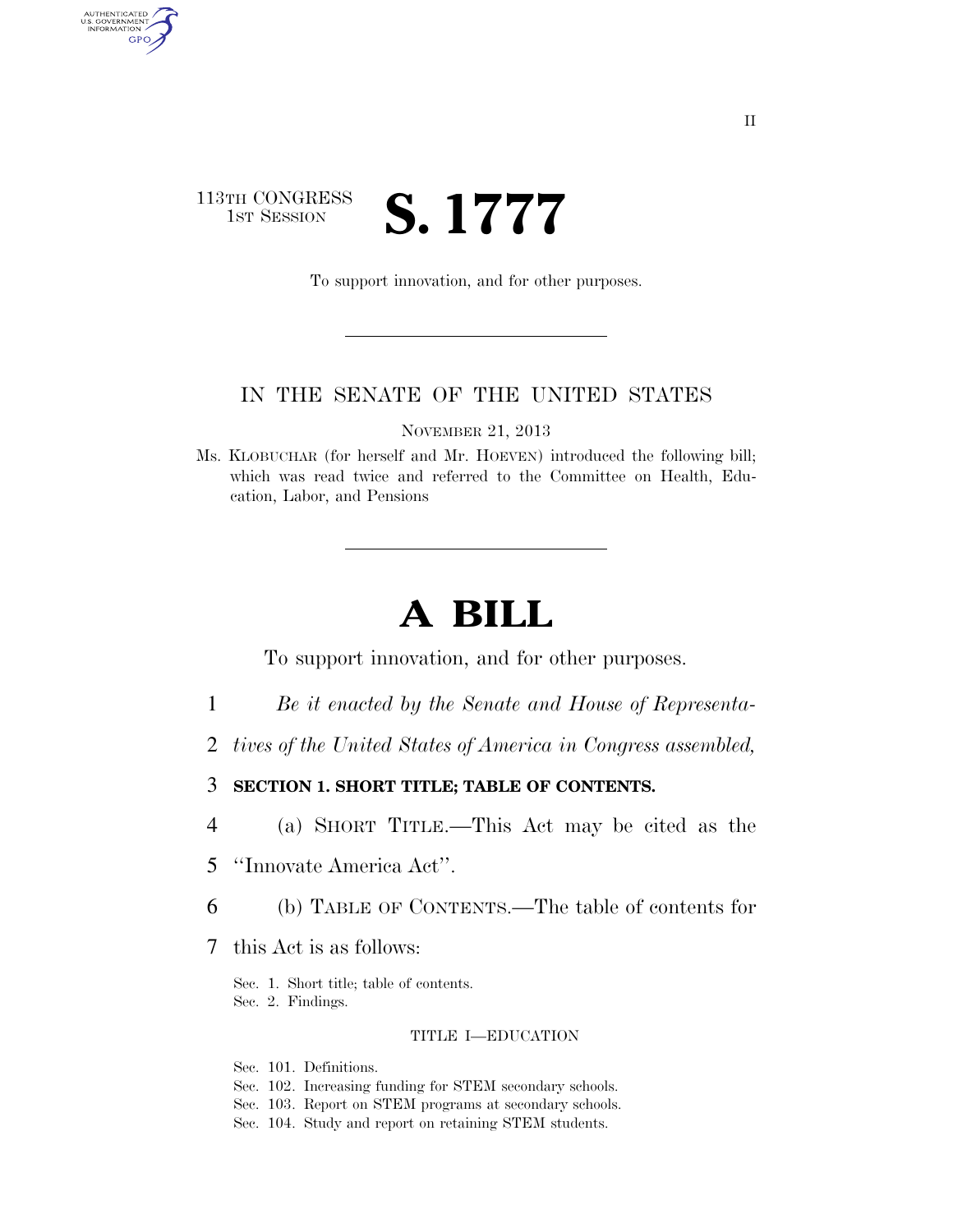### 113TH CONGRESS **1ST SESSION S. 1777**

AUTHENTICATED<br>U.S. GOVERNMENT<br>INFORMATION GPO

To support innovation, and for other purposes.

### IN THE SENATE OF THE UNITED STATES

NOVEMBER 21, 2013

Ms. KLOBUCHAR (for herself and Mr. HOEVEN) introduced the following bill; which was read twice and referred to the Committee on Health, Education, Labor, and Pensions

# **A BILL**

To support innovation, and for other purposes.

- 1 *Be it enacted by the Senate and House of Representa-*
- 2 *tives of the United States of America in Congress assembled,*
- 3 **SECTION 1. SHORT TITLE; TABLE OF CONTENTS.**
- 4 (a) SHORT TITLE.—This Act may be cited as the
- 5 ''Innovate America Act''.
- 6 (b) TABLE OF CONTENTS.—The table of contents for
- 7 this Act is as follows:

Sec. 1. Short title; table of contents. Sec. 2. Findings.

#### TITLE I—EDUCATION

Sec. 101. Definitions.

- Sec. 102. Increasing funding for STEM secondary schools.
- Sec. 103. Report on STEM programs at secondary schools.
- Sec. 104. Study and report on retaining STEM students.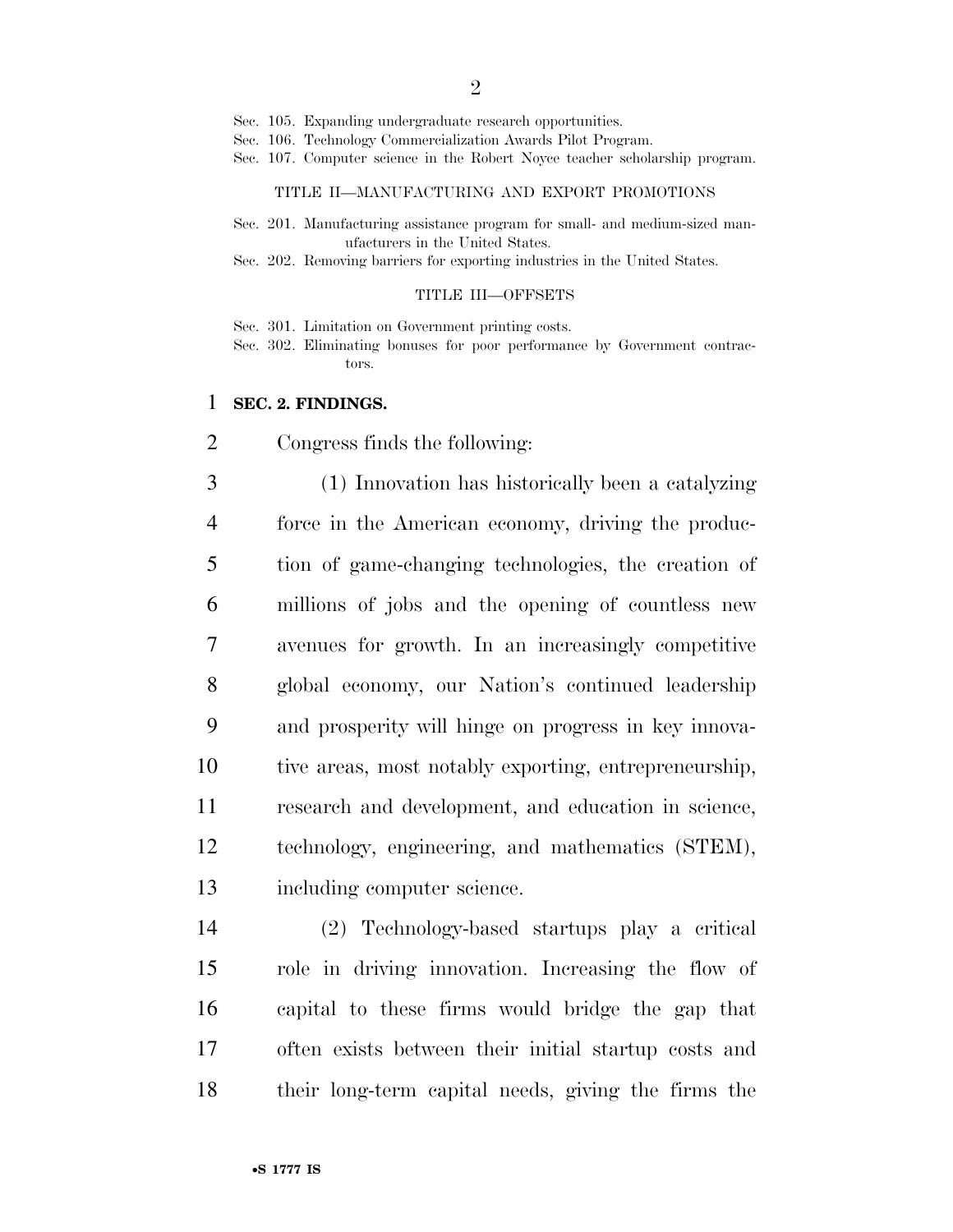- Sec. 105. Expanding undergraduate research opportunities.
- Sec. 106. Technology Commercialization Awards Pilot Program.
- Sec. 107. Computer science in the Robert Noyce teacher scholarship program.

#### TITLE II—MANUFACTURING AND EXPORT PROMOTIONS

- Sec. 201. Manufacturing assistance program for small- and medium-sized manufacturers in the United States.
- Sec. 202. Removing barriers for exporting industries in the United States.

#### TITLE III—OFFSETS

Sec. 301. Limitation on Government printing costs.

Sec. 302. Eliminating bonuses for poor performance by Government contractors.

#### **SEC. 2. FINDINGS.**

Congress finds the following:

 (1) Innovation has historically been a catalyzing force in the American economy, driving the produc- tion of game-changing technologies, the creation of millions of jobs and the opening of countless new avenues for growth. In an increasingly competitive global economy, our Nation's continued leadership and prosperity will hinge on progress in key innova- tive areas, most notably exporting, entrepreneurship, research and development, and education in science, technology, engineering, and mathematics (STEM), including computer science.

 (2) Technology-based startups play a critical role in driving innovation. Increasing the flow of capital to these firms would bridge the gap that often exists between their initial startup costs and their long-term capital needs, giving the firms the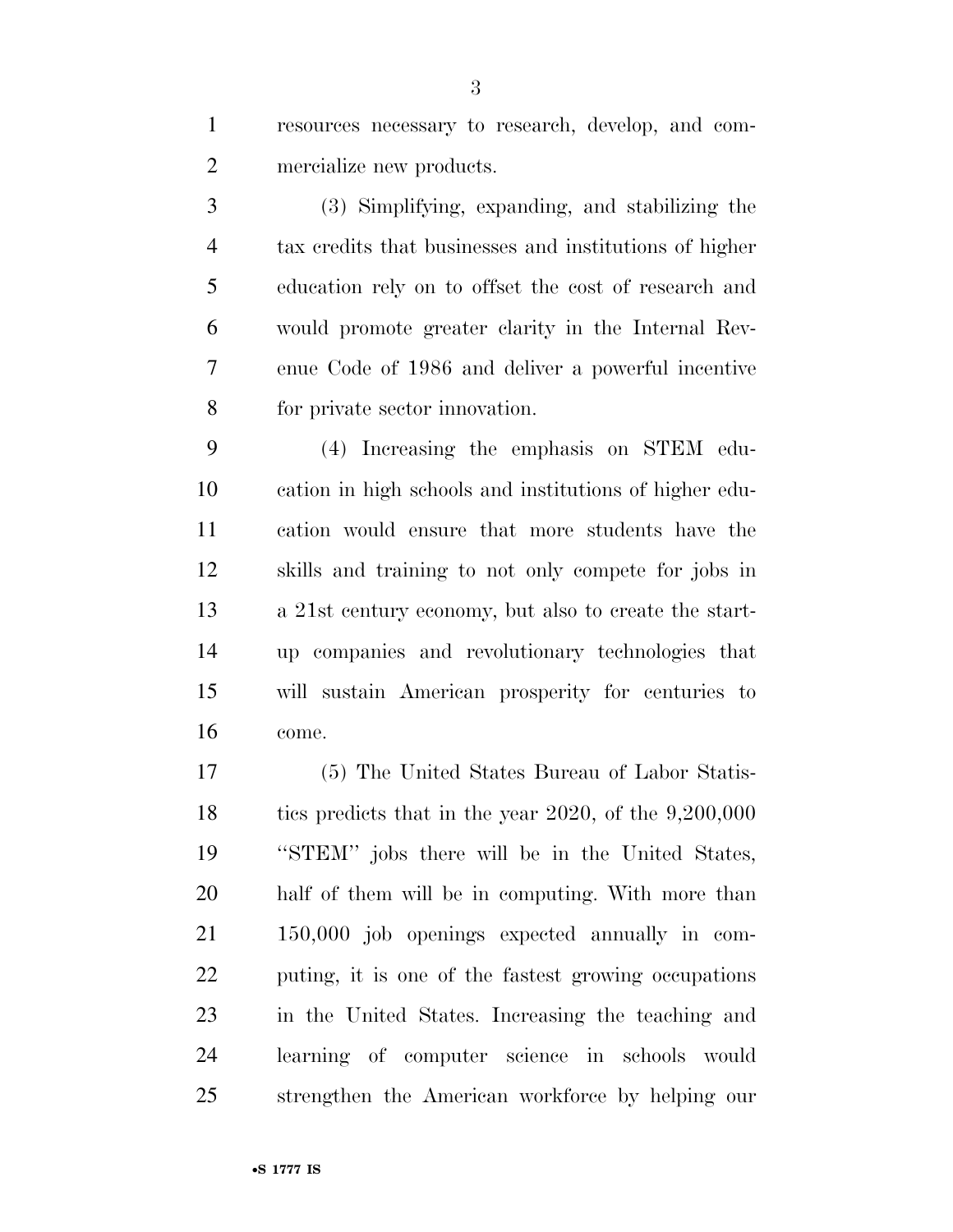resources necessary to research, develop, and com-mercialize new products.

 (3) Simplifying, expanding, and stabilizing the tax credits that businesses and institutions of higher education rely on to offset the cost of research and would promote greater clarity in the Internal Rev- enue Code of 1986 and deliver a powerful incentive for private sector innovation.

 (4) Increasing the emphasis on STEM edu- cation in high schools and institutions of higher edu- cation would ensure that more students have the skills and training to not only compete for jobs in a 21st century economy, but also to create the start- up companies and revolutionary technologies that will sustain American prosperity for centuries to come.

 (5) The United States Bureau of Labor Statis-18 tics predicts that in the year 2020, of the 9,200,000 ''STEM'' jobs there will be in the United States, half of them will be in computing. With more than 150,000 job openings expected annually in com- puting, it is one of the fastest growing occupations in the United States. Increasing the teaching and learning of computer science in schools would strengthen the American workforce by helping our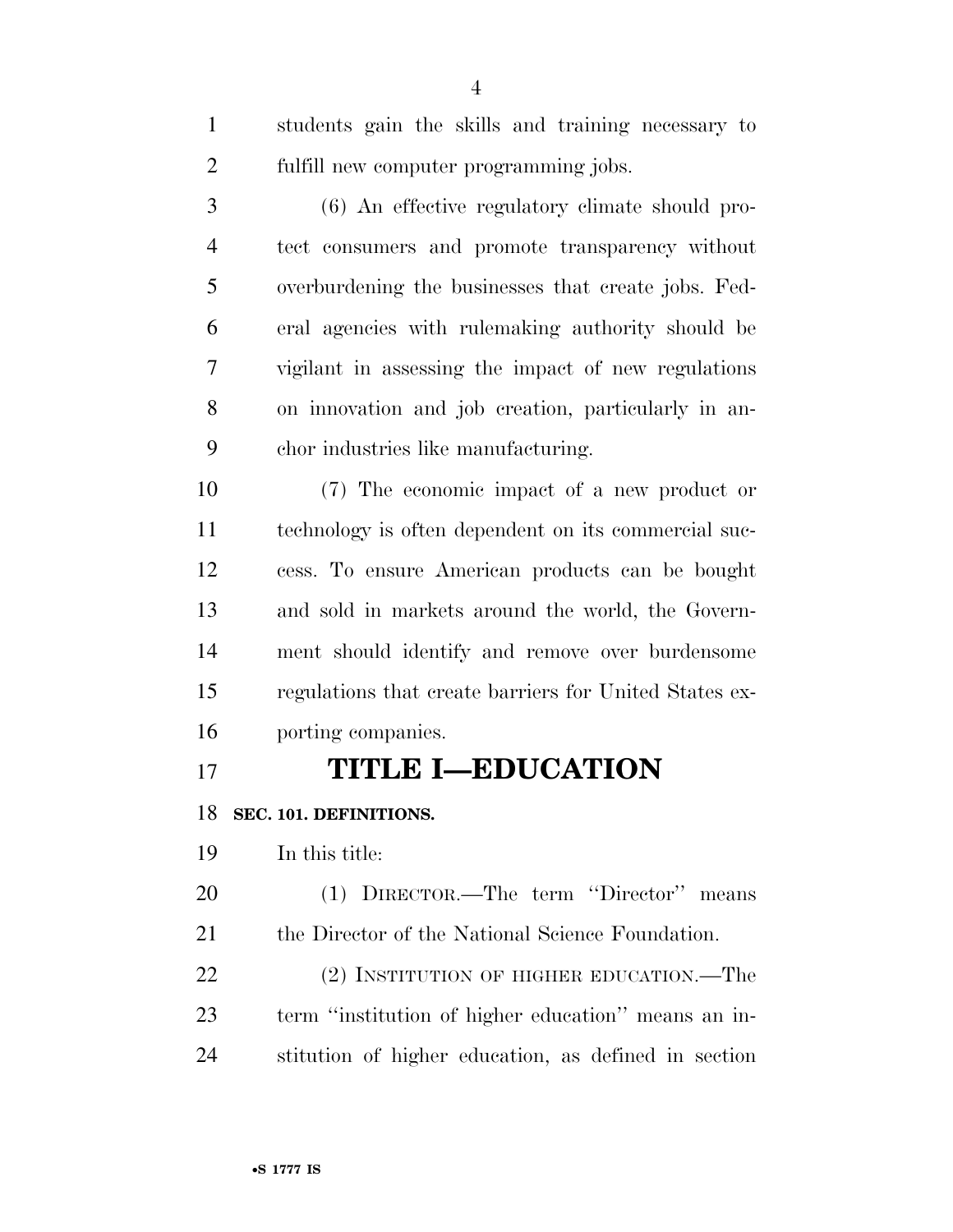| $\mathbf{1}$   | students gain the skills and training necessary to     |
|----------------|--------------------------------------------------------|
| $\overline{2}$ | fulfill new computer programming jobs.                 |
| 3              | (6) An effective regulatory climate should pro-        |
| $\overline{4}$ | tect consumers and promote transparency without        |
| 5              | overburdening the businesses that create jobs. Fed-    |
| 6              | eral agencies with rulemaking authority should be      |
| 7              | vigilant in assessing the impact of new regulations    |
| 8              | on innovation and job creation, particularly in an-    |
| 9              | chor industries like manufacturing.                    |
| 10             | (7) The economic impact of a new product or            |
| 11             | technology is often dependent on its commercial suc-   |
| 12             | cess. To ensure American products can be bought        |
| 13             | and sold in markets around the world, the Govern-      |
| 14             | ment should identify and remove over burdensome        |
| 15             | regulations that create barriers for United States ex- |
| 16             | porting companies.                                     |
| 17             | <b>TITLE I-EDUCATION</b>                               |
| 18             | SEC. 101. DEFINITIONS.                                 |
| 19             | In this title:                                         |
|                |                                                        |

 (1) DIRECTOR.—The term ''Director'' means the Director of the National Science Foundation.

22 (2) INSTITUTION OF HIGHER EDUCATION.—The term ''institution of higher education'' means an in-stitution of higher education, as defined in section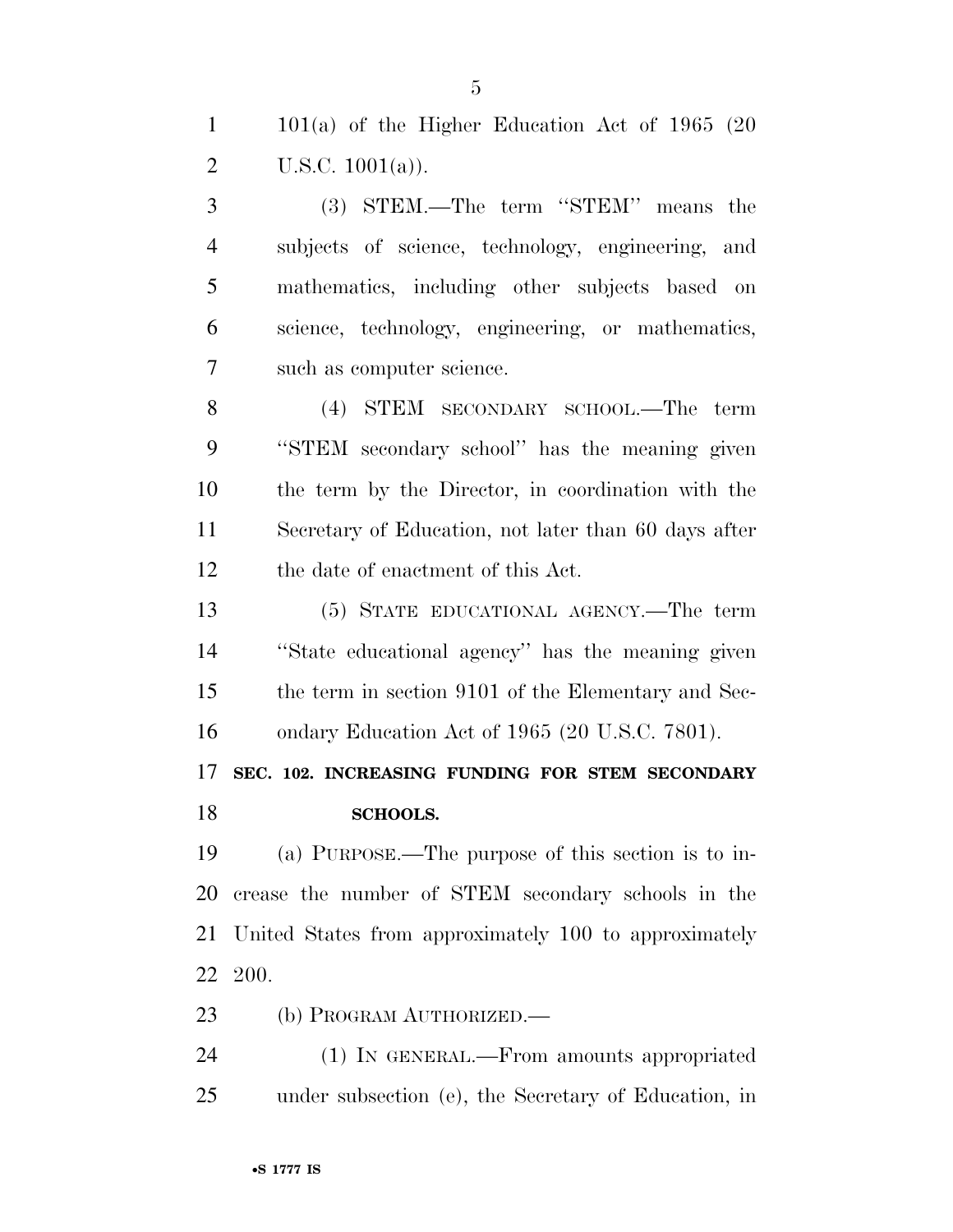| $\mathbf{1}$   | $101(a)$ of the Higher Education Act of 1965 (20      |
|----------------|-------------------------------------------------------|
| $\overline{2}$ | U.S.C. $1001(a)$ ).                                   |
| 3              | (3) STEM.—The term "STEM" means the                   |
| $\overline{4}$ | subjects of science, technology, engineering, and     |
| 5              | mathematics, including other subjects based on        |
| 6              | science, technology, engineering, or mathematics,     |
| 7              | such as computer science.                             |
| 8              | (4) STEM SECONDARY SCHOOL.—The<br>term                |
| 9              | "STEM secondary school" has the meaning given         |
| 10             | the term by the Director, in coordination with the    |
| 11             | Secretary of Education, not later than 60 days after  |
| 12             | the date of enactment of this Act.                    |
| 13             | (5) STATE EDUCATIONAL AGENCY.—The term                |
| 14             | "State educational agency" has the meaning given      |
| 15             | the term in section 9101 of the Elementary and Sec-   |
| 16             | ondary Education Act of 1965 (20 U.S.C. 7801).        |
| 17             | SEC. 102. INCREASING FUNDING FOR STEM SECONDARY       |
| 18             | <b>SCHOOLS.</b>                                       |
| 19             | (a) PURPOSE.—The purpose of this section is to in-    |
| 20             | crease the number of STEM secondary schools in the    |
| 21             | United States from approximately 100 to approximately |
| 22             | <b>200.</b>                                           |

(b) PROGRAM AUTHORIZED.—

 (1) IN GENERAL.—From amounts appropriated under subsection (e), the Secretary of Education, in

•**S 1777 IS**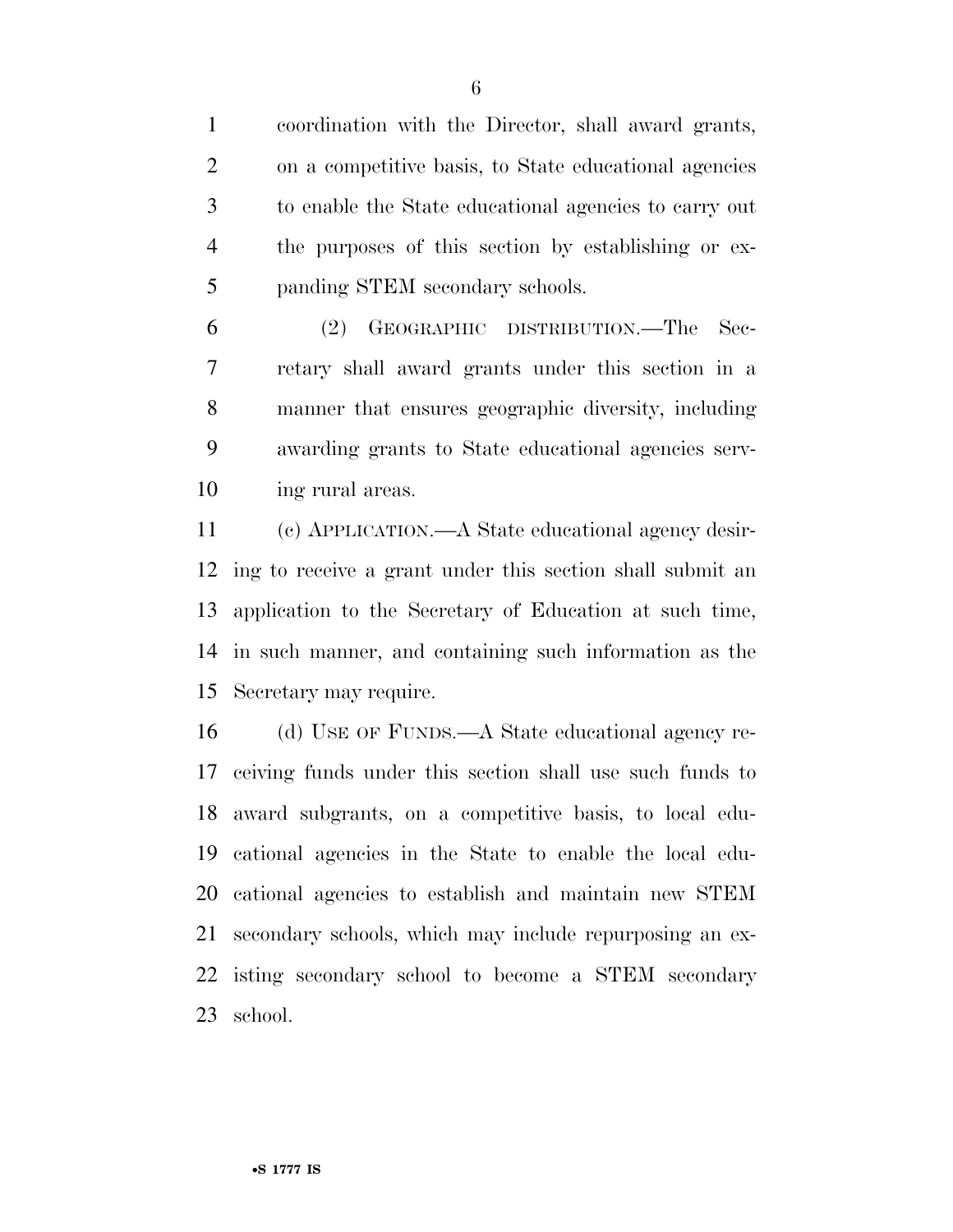coordination with the Director, shall award grants, on a competitive basis, to State educational agencies to enable the State educational agencies to carry out the purposes of this section by establishing or ex-panding STEM secondary schools.

 (2) GEOGRAPHIC DISTRIBUTION.—The Sec- retary shall award grants under this section in a manner that ensures geographic diversity, including awarding grants to State educational agencies serv-ing rural areas.

 (c) APPLICATION.—A State educational agency desir- ing to receive a grant under this section shall submit an application to the Secretary of Education at such time, in such manner, and containing such information as the Secretary may require.

 (d) USE OF FUNDS.—A State educational agency re- ceiving funds under this section shall use such funds to award subgrants, on a competitive basis, to local edu- cational agencies in the State to enable the local edu- cational agencies to establish and maintain new STEM secondary schools, which may include repurposing an ex- isting secondary school to become a STEM secondary school.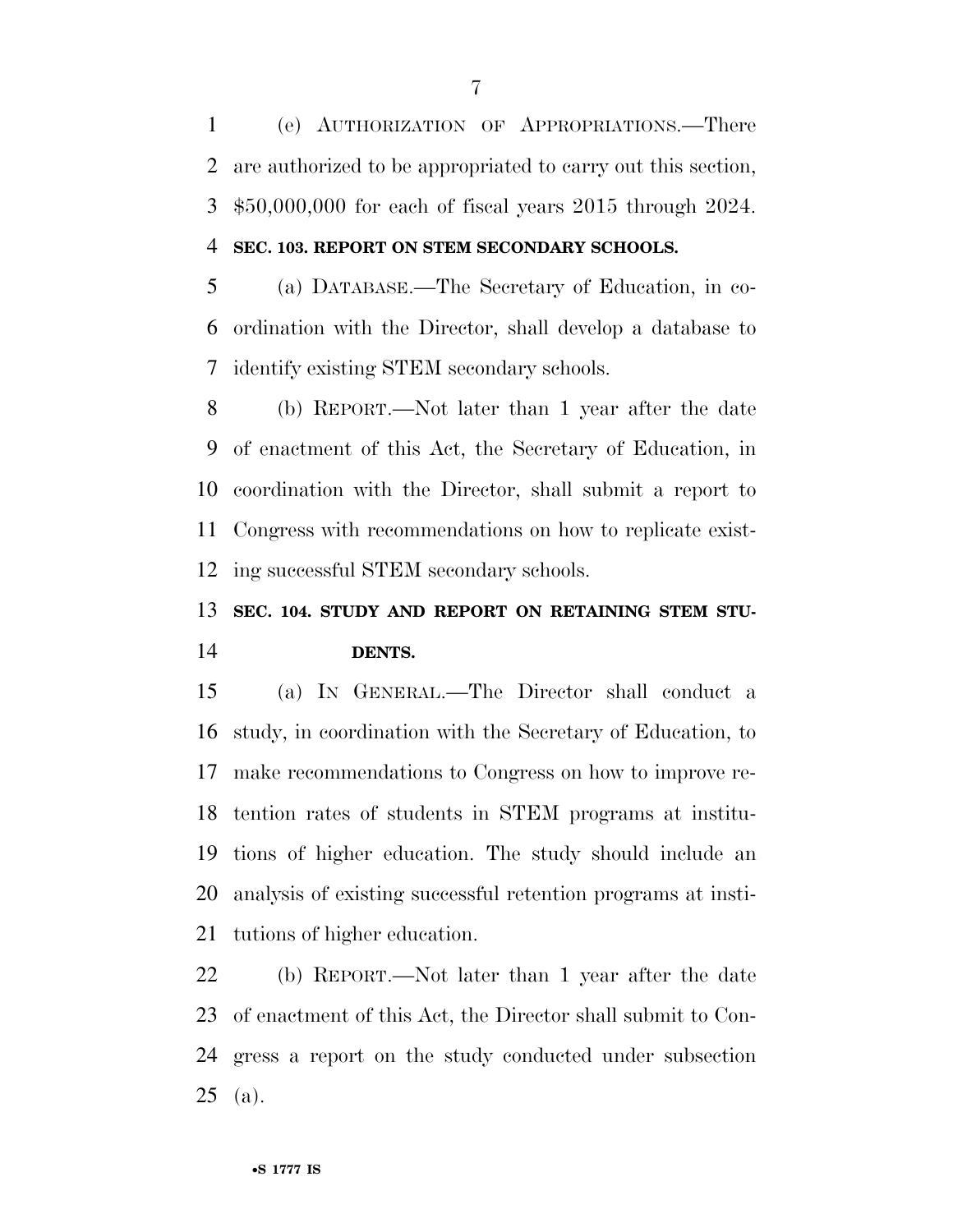(e) AUTHORIZATION OF APPROPRIATIONS.—There are authorized to be appropriated to carry out this section, \$50,000,000 for each of fiscal years 2015 through 2024. **SEC. 103. REPORT ON STEM SECONDARY SCHOOLS.** 

 (a) DATABASE.—The Secretary of Education, in co- ordination with the Director, shall develop a database to identify existing STEM secondary schools.

 (b) REPORT.—Not later than 1 year after the date of enactment of this Act, the Secretary of Education, in coordination with the Director, shall submit a report to Congress with recommendations on how to replicate exist-ing successful STEM secondary schools.

## **SEC. 104. STUDY AND REPORT ON RETAINING STEM STU-DENTS.**

 (a) IN GENERAL.—The Director shall conduct a study, in coordination with the Secretary of Education, to make recommendations to Congress on how to improve re- tention rates of students in STEM programs at institu- tions of higher education. The study should include an analysis of existing successful retention programs at insti-tutions of higher education.

 (b) REPORT.—Not later than 1 year after the date of enactment of this Act, the Director shall submit to Con- gress a report on the study conducted under subsection (a).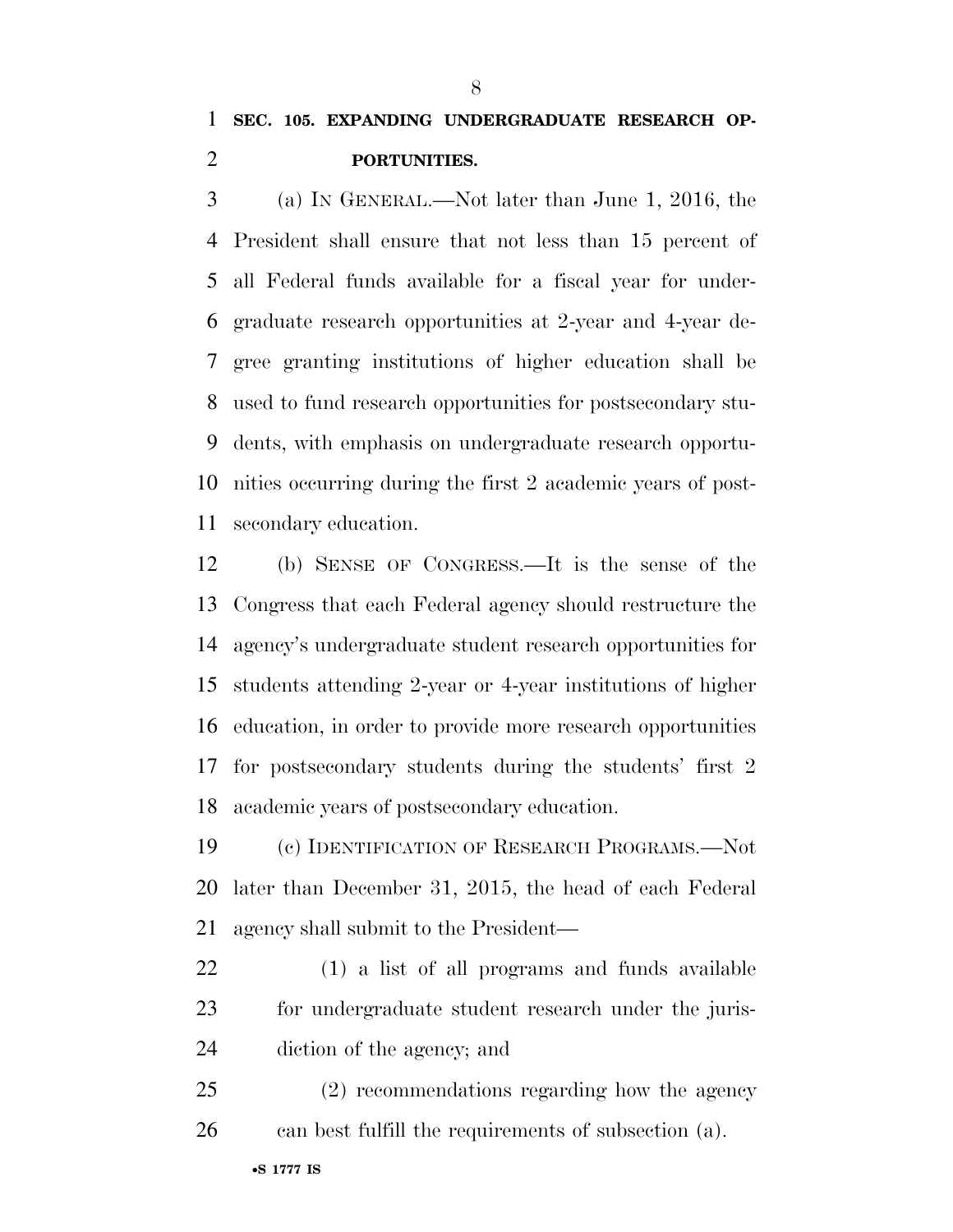### **SEC. 105. EXPANDING UNDERGRADUATE RESEARCH OP-PORTUNITIES.**

 (a) IN GENERAL.—Not later than June 1, 2016, the President shall ensure that not less than 15 percent of all Federal funds available for a fiscal year for under- graduate research opportunities at 2-year and 4-year de- gree granting institutions of higher education shall be used to fund research opportunities for postsecondary stu- dents, with emphasis on undergraduate research opportu- nities occurring during the first 2 academic years of post-secondary education.

 (b) SENSE OF CONGRESS.—It is the sense of the Congress that each Federal agency should restructure the agency's undergraduate student research opportunities for students attending 2-year or 4-year institutions of higher education, in order to provide more research opportunities for postsecondary students during the students' first 2 academic years of postsecondary education.

 (c) IDENTIFICATION OF RESEARCH PROGRAMS.—Not later than December 31, 2015, the head of each Federal agency shall submit to the President—

 (1) a list of all programs and funds available for undergraduate student research under the juris-diction of the agency; and

 (2) recommendations regarding how the agency can best fulfill the requirements of subsection (a).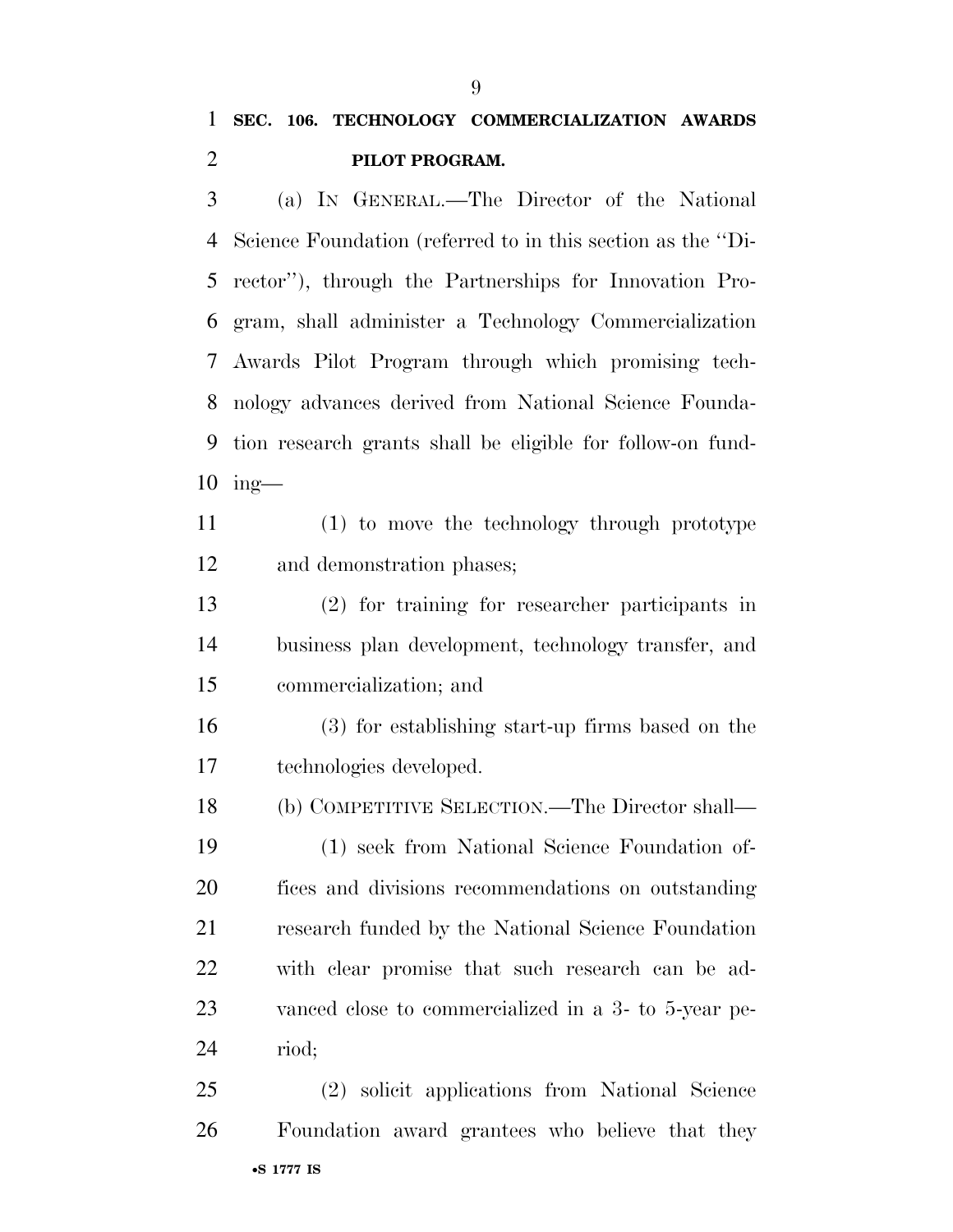(a) IN GENERAL.—The Director of the National Science Foundation (referred to in this section as the ''Di- rector''), through the Partnerships for Innovation Pro- gram, shall administer a Technology Commercialization Awards Pilot Program through which promising tech- nology advances derived from National Science Founda- tion research grants shall be eligible for follow-on fund-ing—

 (1) to move the technology through prototype and demonstration phases;

 (2) for training for researcher participants in business plan development, technology transfer, and commercialization; and

 (3) for establishing start-up firms based on the technologies developed.

 (b) COMPETITIVE SELECTION.—The Director shall— (1) seek from National Science Foundation of- fices and divisions recommendations on outstanding research funded by the National Science Foundation with clear promise that such research can be ad- vanced close to commercialized in a 3- to 5-year pe-riod;

•**S 1777 IS** (2) solicit applications from National Science Foundation award grantees who believe that they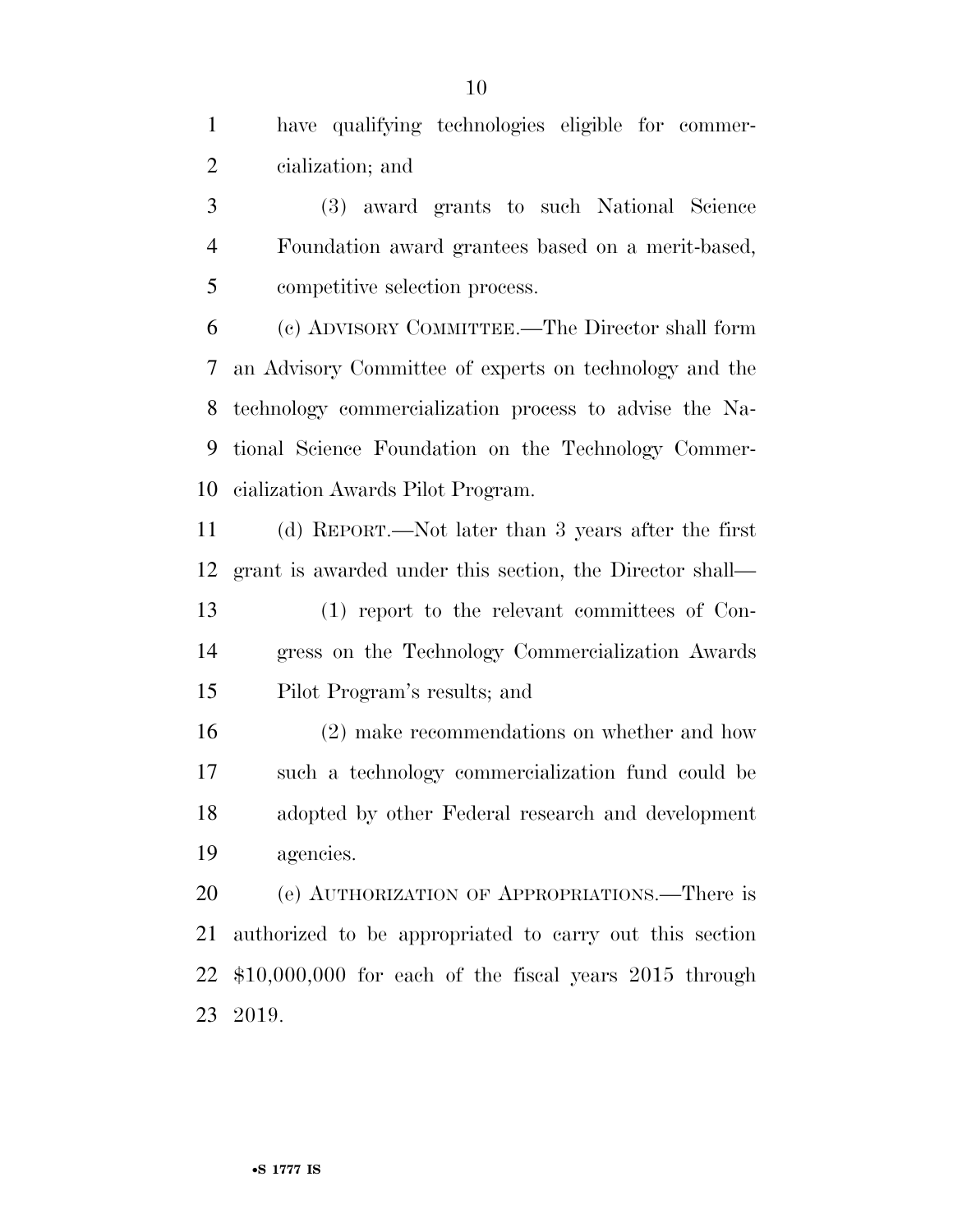have qualifying technologies eligible for commer-cialization; and

 (3) award grants to such National Science Foundation award grantees based on a merit-based, competitive selection process.

 (c) ADVISORY COMMITTEE.—The Director shall form an Advisory Committee of experts on technology and the technology commercialization process to advise the Na- tional Science Foundation on the Technology Commer-cialization Awards Pilot Program.

 (d) REPORT.—Not later than 3 years after the first grant is awarded under this section, the Director shall—

 (1) report to the relevant committees of Con- gress on the Technology Commercialization Awards Pilot Program's results; and

 (2) make recommendations on whether and how such a technology commercialization fund could be adopted by other Federal research and development agencies.

 (e) AUTHORIZATION OF APPROPRIATIONS.—There is authorized to be appropriated to carry out this section \$10,000,000 for each of the fiscal years 2015 through 2019.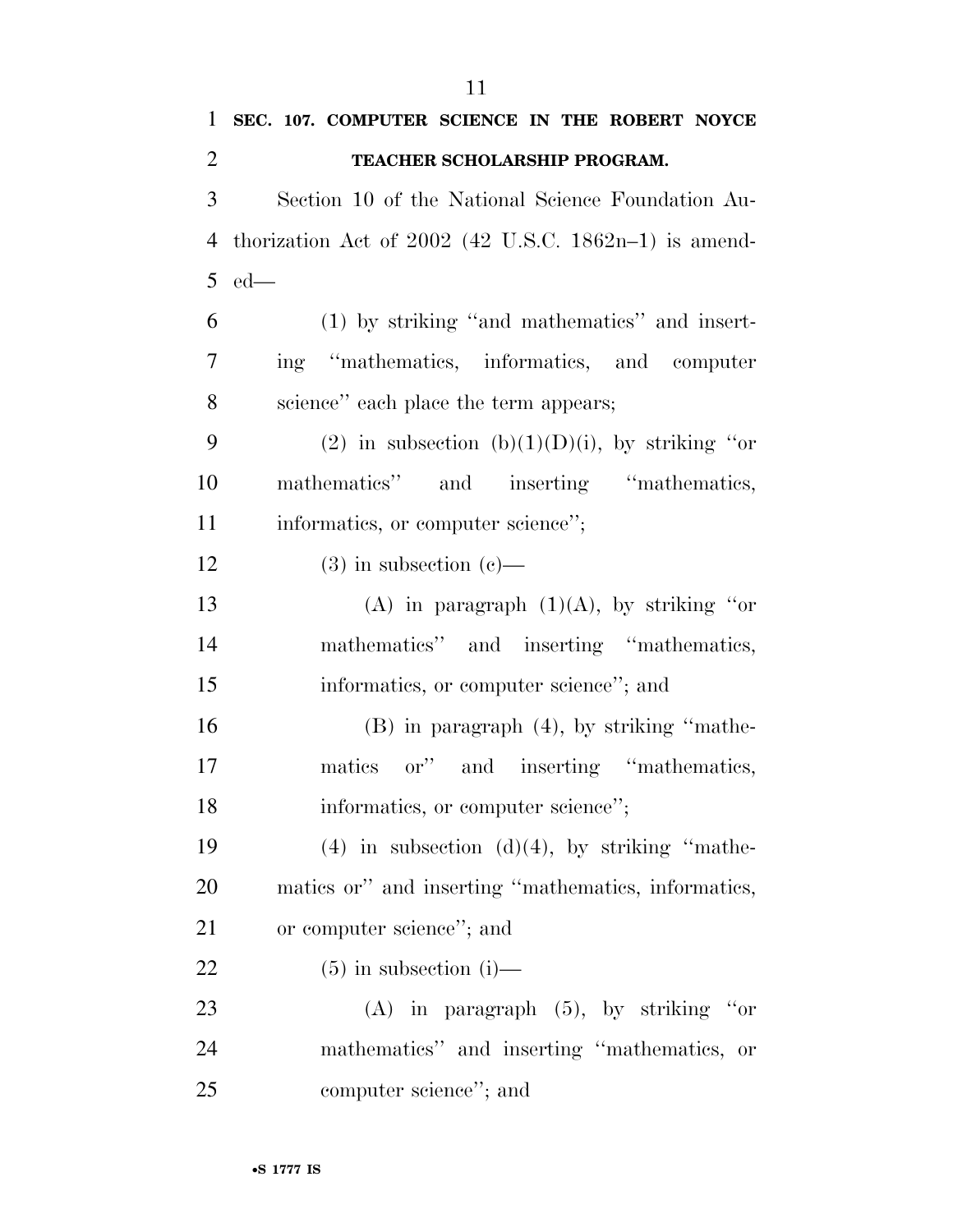**TEACHER SCHOLARSHIP PROGRAM.**  Section 10 of the National Science Foundation Au- thorization Act of 2002 (42 U.S.C. 1862n–1) is amend- ed— (1) by striking ''and mathematics'' and insert- ing ''mathematics, informatics, and computer science'' each place the term appears; 9 (2) in subsection (b)(1)(D)(i), by striking "or mathematics'' and inserting ''mathematics, 11 informatics, or computer science''; 12 (3) in subsection  $(c)$ — 13 (A) in paragraph  $(1)(A)$ , by striking "or mathematics'' and inserting ''mathematics, informatics, or computer science''; and (B) in paragraph (4), by striking ''mathe- matics or'' and inserting ''mathematics, 18 informatics, or computer science''; 19 (4) in subsection  $(d)(4)$ , by striking "mathe- matics or'' and inserting ''mathematics, informatics, 21 or computer science"; and 22 (5) in subsection (i)— (A) in paragraph (5), by striking ''or mathematics'' and inserting ''mathematics, or computer science''; and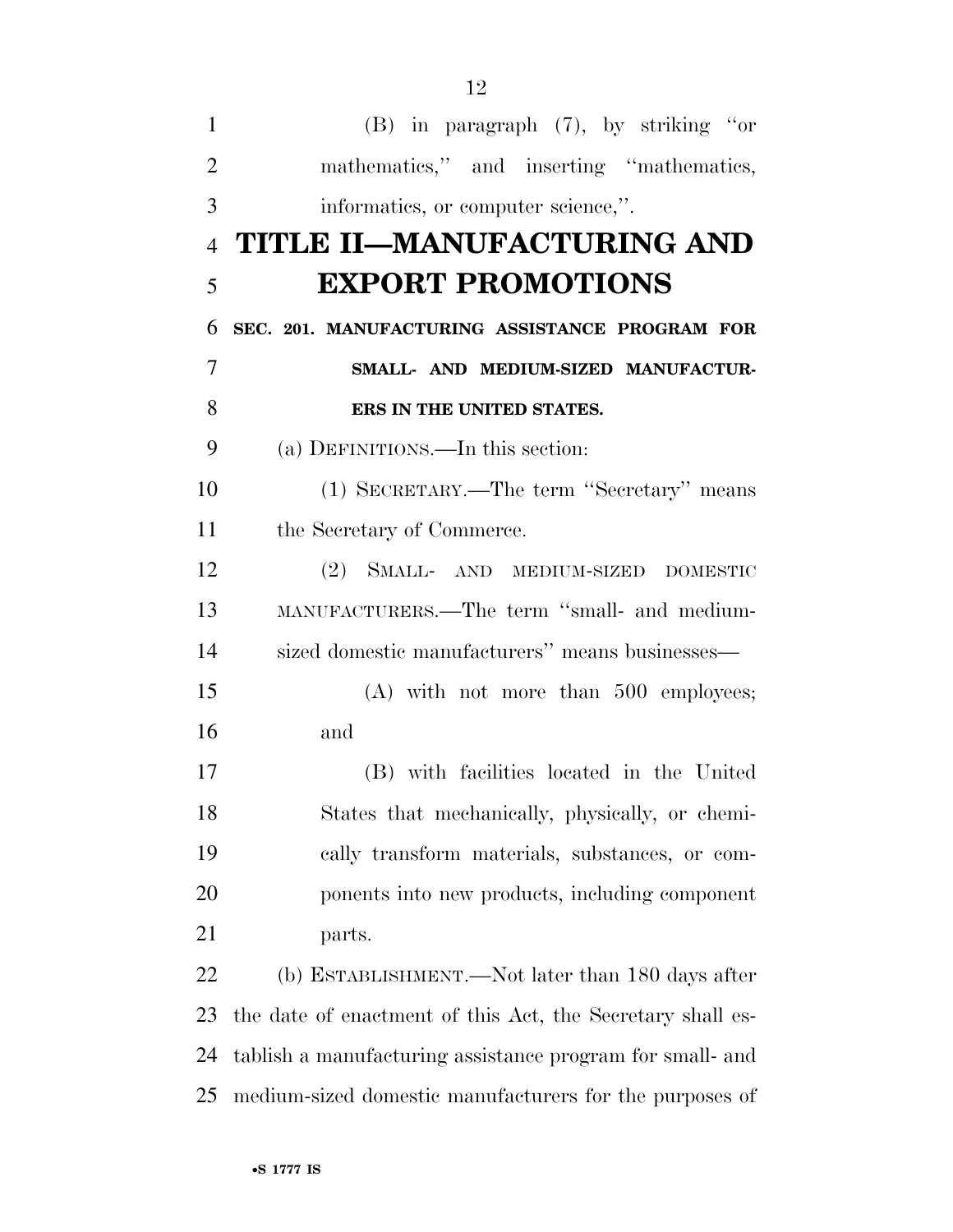(B) in paragraph (7), by striking ''or 2 mathematics," and inserting "mathematics, informatics, or computer science,''. **TITLE II—MANUFACTURING AND EXPORT PROMOTIONS SEC. 201. MANUFACTURING ASSISTANCE PROGRAM FOR SMALL- AND MEDIUM-SIZED MANUFACTUR- ERS IN THE UNITED STATES.**  (a) DEFINITIONS.—In this section: (1) SECRETARY.—The term ''Secretary'' means the Secretary of Commerce. (2) SMALL- AND MEDIUM-SIZED DOMESTIC MANUFACTURERS.—The term ''small- and medium- sized domestic manufacturers'' means businesses— (A) with not more than 500 employees; and (B) with facilities located in the United States that mechanically, physically, or chemi- cally transform materials, substances, or com- ponents into new products, including component parts. (b) ESTABLISHMENT.—Not later than 180 days after the date of enactment of this Act, the Secretary shall es- tablish a manufacturing assistance program for small- and medium-sized domestic manufacturers for the purposes of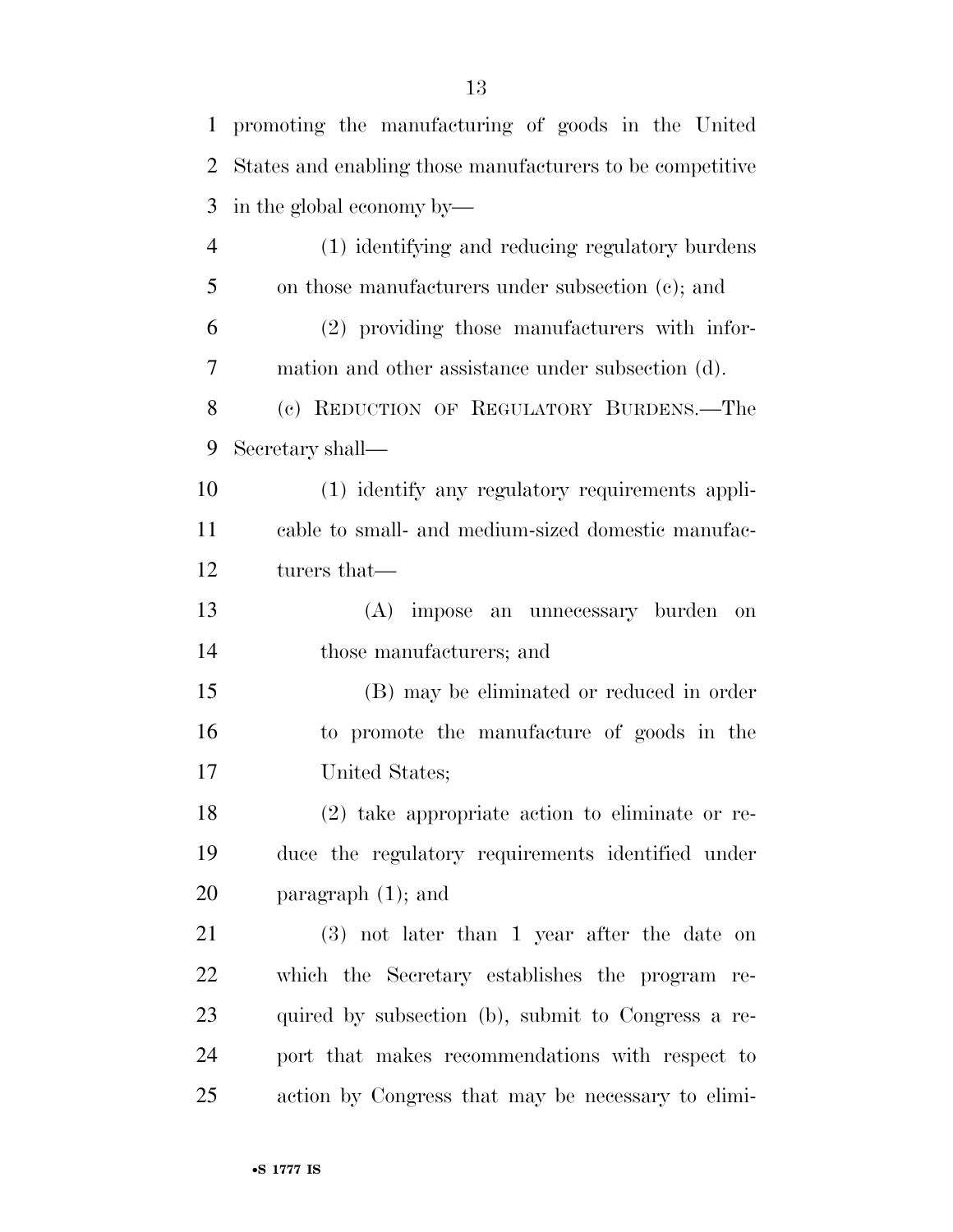| $\mathbf{1}$   | promoting the manufacturing of goods in the United         |
|----------------|------------------------------------------------------------|
| $\overline{2}$ | States and enabling those manufacturers to be competitive. |
| 3              | in the global economy by—                                  |
| $\overline{4}$ | (1) identifying and reducing regulatory burdens            |
| 5              | on those manufacturers under subsection (c); and           |
| 6              | (2) providing those manufacturers with infor-              |
| 7              | mation and other assistance under subsection (d).          |
| 8              | (c) REDUCTION OF REGULATORY BURDENS.—The                   |
| 9              | Secretary shall—                                           |
| 10             | (1) identify any regulatory requirements appli-            |
| 11             | cable to small- and medium-sized domestic manufac-         |
| 12             | turers that—                                               |
| 13             | (A) impose an unnecessary burden<br>on                     |
| 14             | those manufacturers; and                                   |
| 15             | (B) may be eliminated or reduced in order                  |
| 16             | to promote the manufacture of goods in the                 |
| 17             | United States;                                             |
| 18             | $(2)$ take appropriate action to eliminate or re-          |
| 19             | duce the regulatory requirements identified under          |
| 20             | paragraph $(1)$ ; and                                      |
| 21             | $(3)$ not later than 1 year after the date on              |
| 22             | which the Secretary establishes the program re-            |
| 23             | quired by subsection (b), submit to Congress a re-         |
| 24             | port that makes recommendations with respect to            |
| 25             | action by Congress that may be necessary to elimi-         |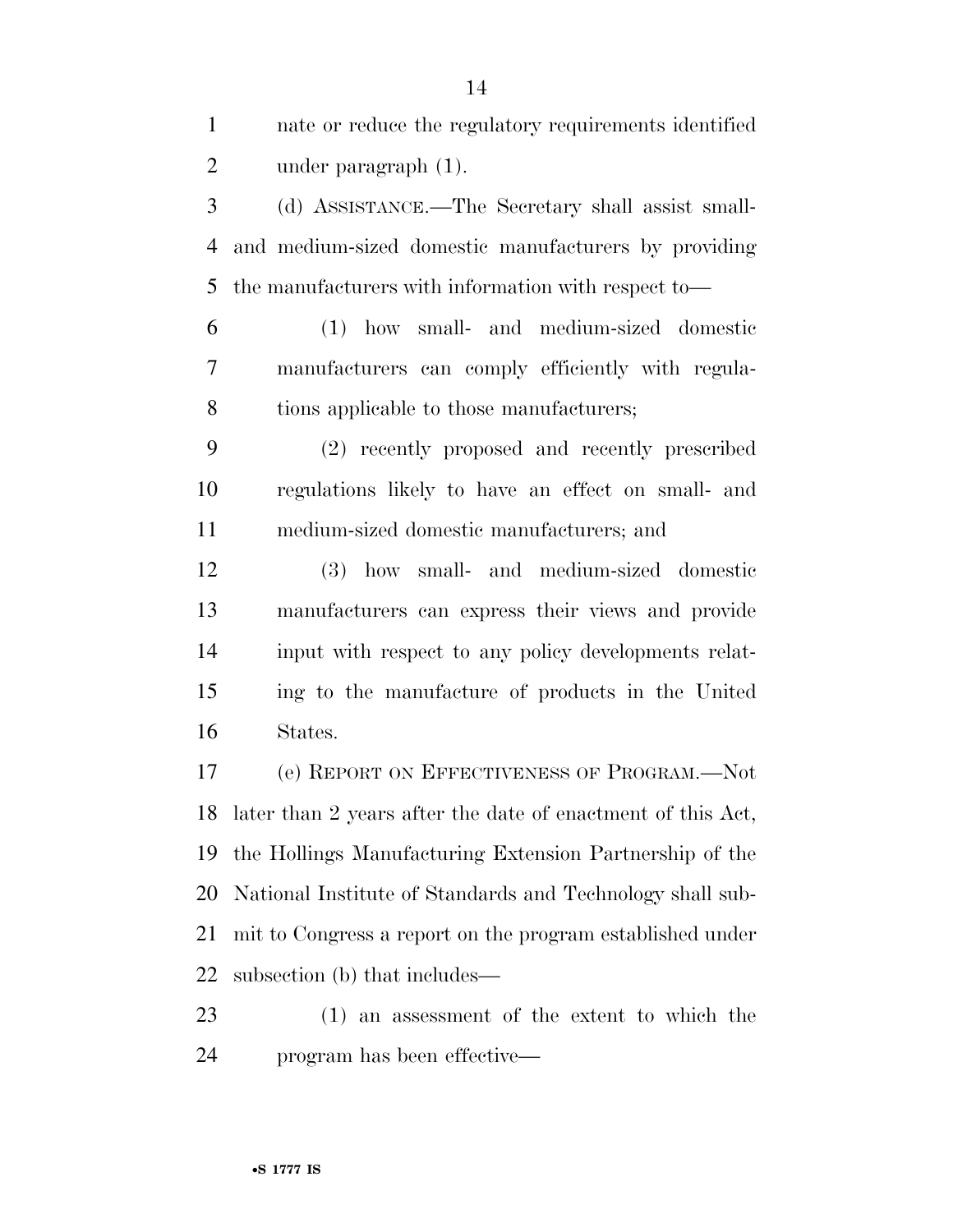| $\mathbf{1}$   | nate or reduce the regulatory requirements identified          |
|----------------|----------------------------------------------------------------|
| $\overline{c}$ | under paragraph $(1)$ .                                        |
| 3              | (d) ASSISTANCE.—The Secretary shall assist small-              |
| 4              | and medium-sized domestic manufacturers by providing           |
| 5              | the manufacturers with information with respect to-            |
| 6              | (1) how small- and medium-sized domestic                       |
| $\tau$         | manufacturers can comply efficiently with regula-              |
| 8              | tions applicable to those manufacturers;                       |
| 9              | (2) recently proposed and recently prescribed                  |
| 10             | regulations likely to have an effect on small- and             |
| 11             | medium-sized domestic manufacturers; and                       |
| 12             | (3) how small- and medium-sized domestic                       |
| 13             | manufacturers can express their views and provide              |
| 14             | input with respect to any policy developments relat-           |
| 15             | ing to the manufacture of products in the United               |
| 16             | States.                                                        |
| 17             | (e) REPORT ON EFFECTIVENESS OF PROGRAM.—Not                    |
|                | 18 later than 2 years after the date of enactment of this Act, |
| 19             | the Hollings Manufacturing Extension Partnership of the        |
| 20             | National Institute of Standards and Technology shall sub-      |
| 21             | mit to Congress a report on the program established under      |
| 22             | subsection (b) that includes—                                  |

 (1) an assessment of the extent to which the program has been effective—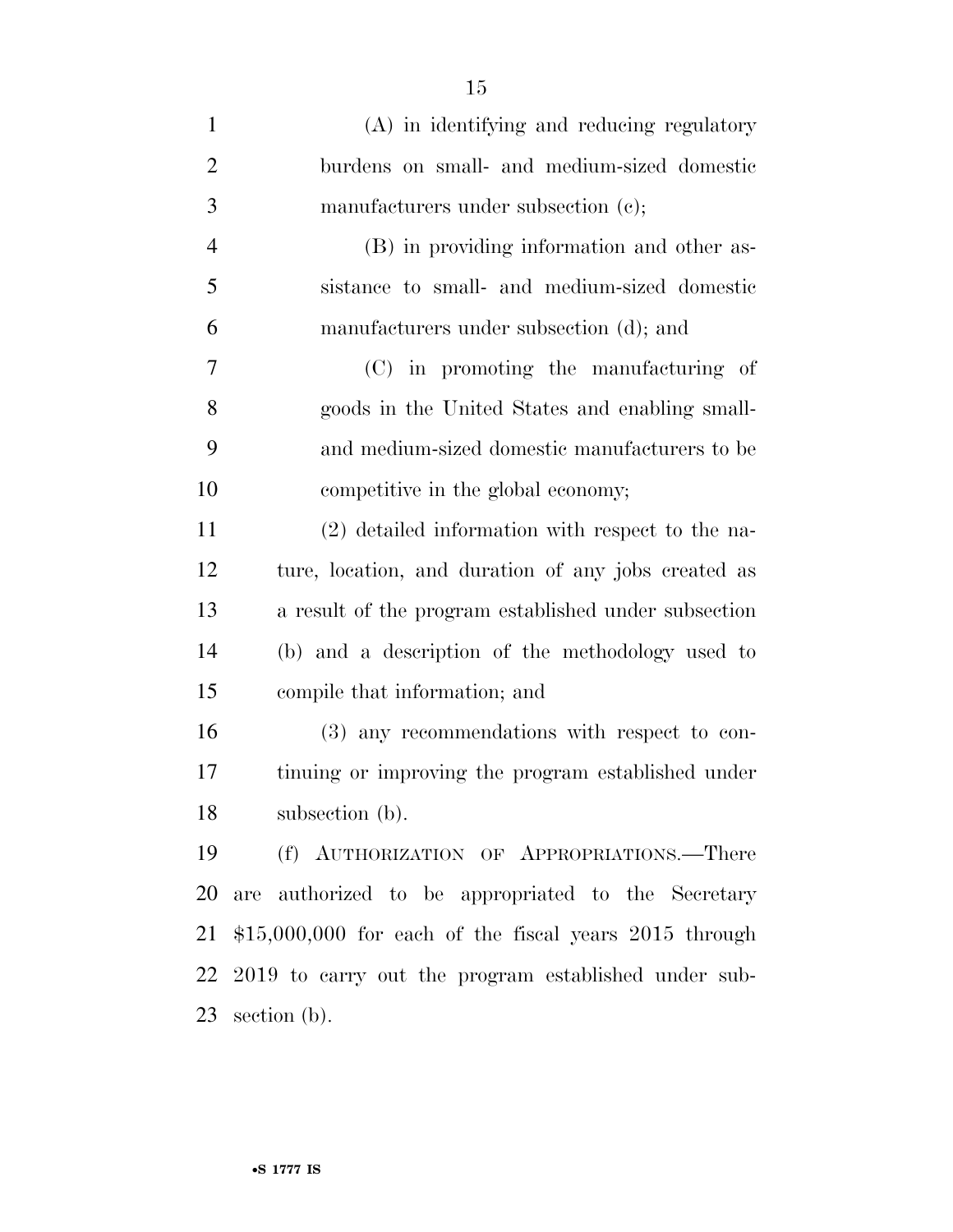| $\mathbf{1}$   | (A) in identifying and reducing regulatory              |
|----------------|---------------------------------------------------------|
| $\overline{2}$ | burdens on small- and medium-sized domestic             |
| 3              | manufacturers under subsection (c);                     |
| $\overline{4}$ | (B) in providing information and other as-              |
| 5              | sistance to small- and medium-sized domestic            |
| 6              | manufacturers under subsection (d); and                 |
| 7              | (C) in promoting the manufacturing of                   |
| 8              | goods in the United States and enabling small-          |
| 9              | and medium-sized domestic manufacturers to be           |
| 10             | competitive in the global economy;                      |
| 11             | (2) detailed information with respect to the na-        |
| 12             | ture, location, and duration of any jobs created as     |
| 13             | a result of the program established under subsection    |
| 14             | (b) and a description of the methodology used to        |
| 15             | compile that information; and                           |
| 16             | (3) any recommendations with respect to con-            |
| 17             | tinuing or improving the program established under      |
| 18             | subsection (b).                                         |
| 19             | (f) AUTHORIZATION OF APPROPRIATIONS.—There              |
| 20             | are authorized to be appropriated to the Secretary      |
| 21             | $$15,000,000$ for each of the fiscal years 2015 through |
| 22             | 2019 to carry out the program established under sub-    |
| 23             | section $(b)$ .                                         |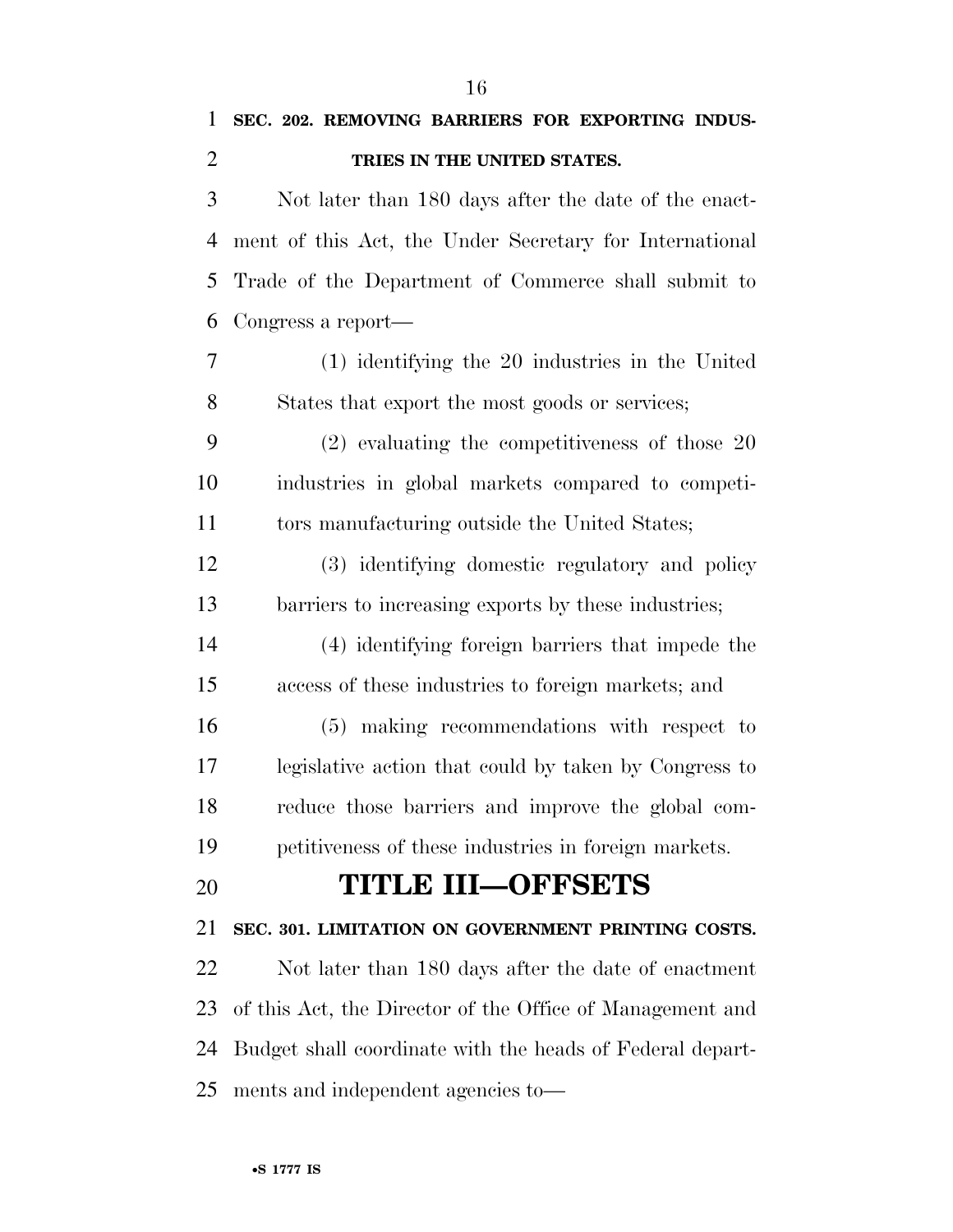**SEC. 202. REMOVING BARRIERS FOR EXPORTING INDUS-**

**TRIES IN THE UNITED STATES.** 

| 3  | Not later than 180 days after the date of the enact-      |
|----|-----------------------------------------------------------|
| 4  | ment of this Act, the Under Secretary for International   |
| 5  | Trade of the Department of Commerce shall submit to       |
| 6  | Congress a report—                                        |
| 7  | (1) identifying the 20 industries in the United           |
| 8  | States that export the most goods or services;            |
| 9  | $(2)$ evaluating the competitiveness of those 20          |
| 10 | industries in global markets compared to competi-         |
| 11 | tors manufacturing outside the United States;             |
| 12 | (3) identifying domestic regulatory and policy            |
| 13 | barriers to increasing exports by these industries;       |
| 14 | (4) identifying foreign barriers that impede the          |
| 15 | access of these industries to foreign markets; and        |
| 16 | (5) making recommendations with respect to                |
| 17 | legislative action that could by taken by Congress to     |
| 18 | reduce those barriers and improve the global com-         |
| 19 | petitiveness of these industries in foreign markets.      |
| 20 | <b>TITLE III-OFFSETS</b>                                  |
| 21 | SEC. 301. LIMITATION ON GOVERNMENT PRINTING COSTS.        |
| 22 | Not later than 180 days after the date of enactment       |
| 23 | of this Act, the Director of the Office of Management and |
| 24 | Budget shall coordinate with the heads of Federal depart- |
| 25 | ments and independent agencies to-                        |
|    |                                                           |
|    | •S 1777 IS                                                |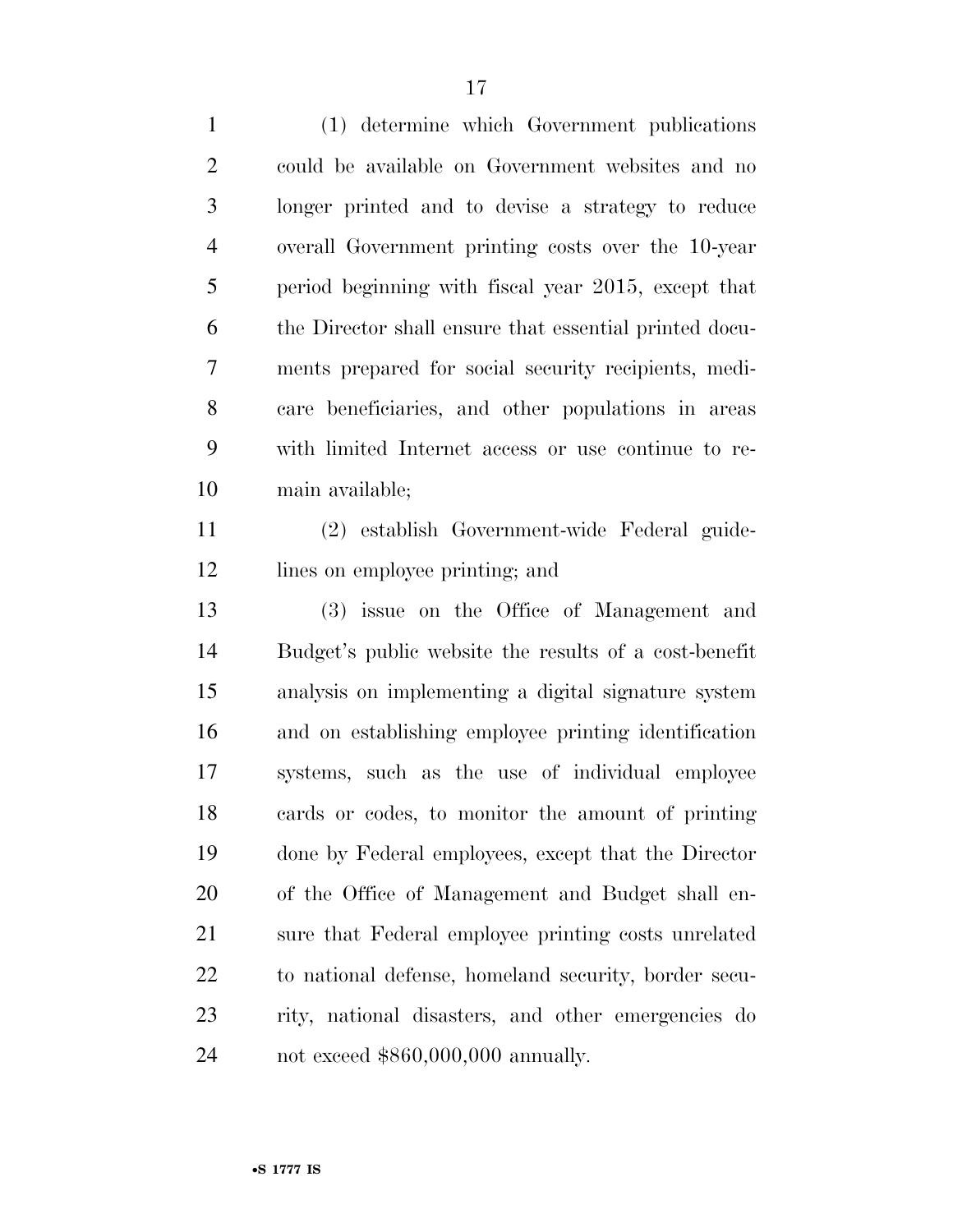(1) determine which Government publications could be available on Government websites and no longer printed and to devise a strategy to reduce overall Government printing costs over the 10-year period beginning with fiscal year 2015, except that the Director shall ensure that essential printed docu- ments prepared for social security recipients, medi- care beneficiaries, and other populations in areas with limited Internet access or use continue to re-main available;

 (2) establish Government-wide Federal guide-lines on employee printing; and

 (3) issue on the Office of Management and Budget's public website the results of a cost-benefit analysis on implementing a digital signature system and on establishing employee printing identification systems, such as the use of individual employee cards or codes, to monitor the amount of printing done by Federal employees, except that the Director of the Office of Management and Budget shall en- sure that Federal employee printing costs unrelated to national defense, homeland security, border secu- rity, national disasters, and other emergencies do not exceed \$860,000,000 annually.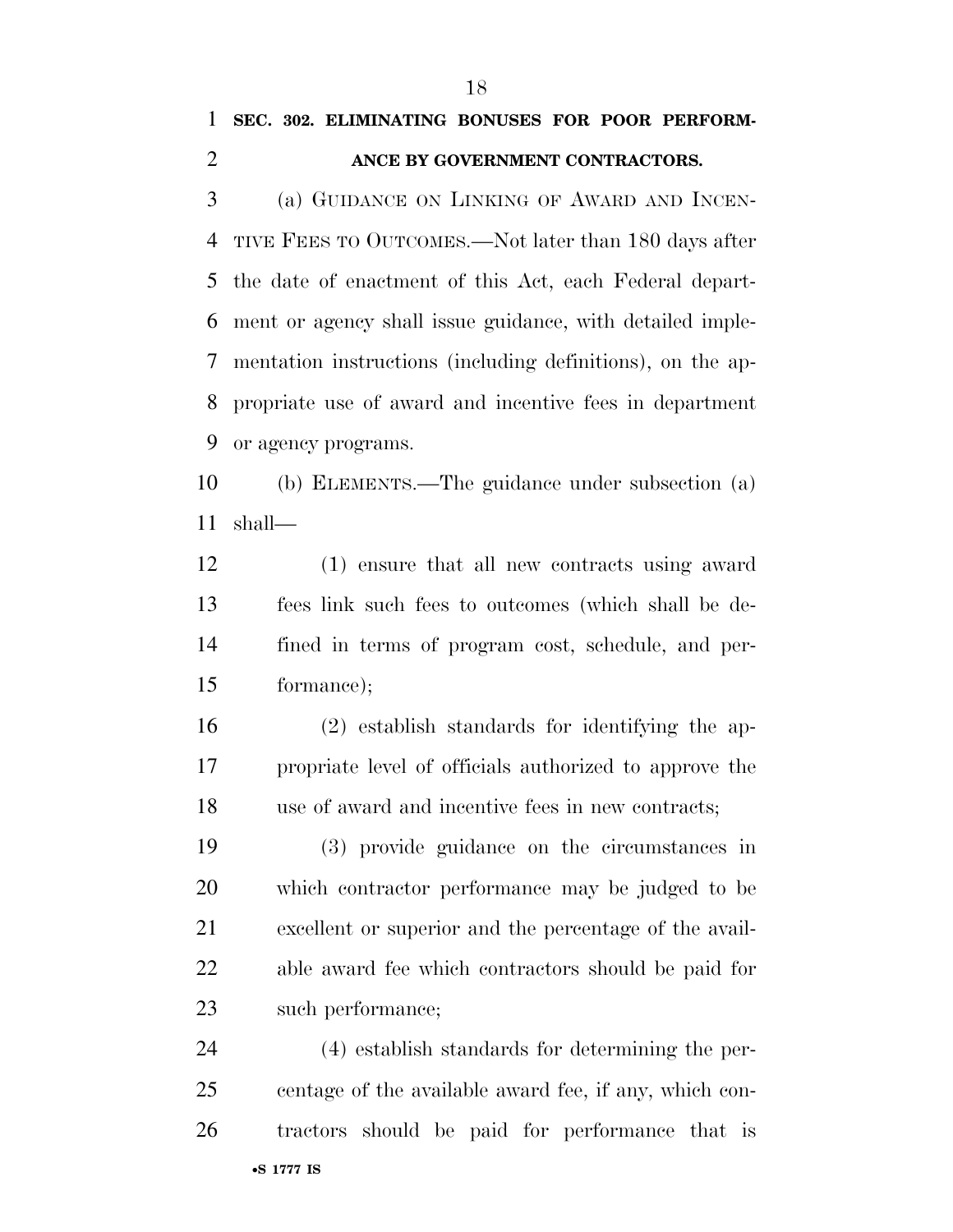### **SEC. 302. ELIMINATING BONUSES FOR POOR PERFORM-ANCE BY GOVERNMENT CONTRACTORS.**

 (a) GUIDANCE ON LINKING OF AWARD AND INCEN- TIVE FEES TO OUTCOMES.—Not later than 180 days after the date of enactment of this Act, each Federal depart- ment or agency shall issue guidance, with detailed imple- mentation instructions (including definitions), on the ap- propriate use of award and incentive fees in department or agency programs.

 (b) ELEMENTS.—The guidance under subsection (a) shall—

 (1) ensure that all new contracts using award fees link such fees to outcomes (which shall be de- fined in terms of program cost, schedule, and per-formance);

 (2) establish standards for identifying the ap- propriate level of officials authorized to approve the use of award and incentive fees in new contracts;

 (3) provide guidance on the circumstances in which contractor performance may be judged to be excellent or superior and the percentage of the avail- able award fee which contractors should be paid for such performance;

•**S 1777 IS** (4) establish standards for determining the per- centage of the available award fee, if any, which con-tractors should be paid for performance that is